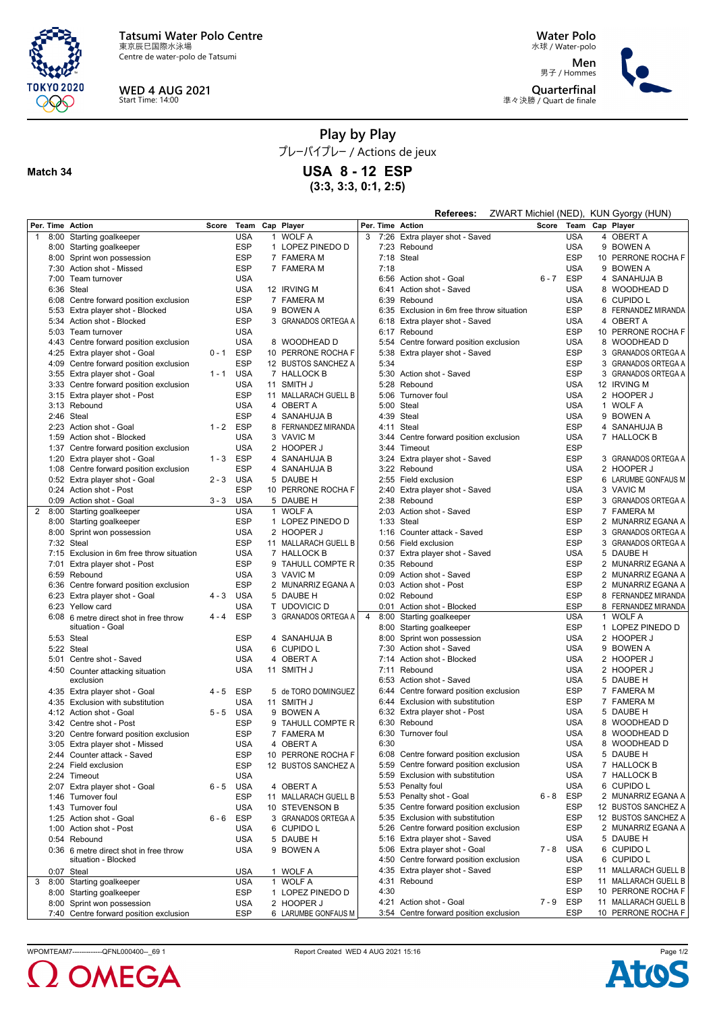

Centre de water-polo de Tatsumi



**Match 34**

**WED 4 AUG 2021** Start Time: 14:00

**Water Polo** 水球 / Water-polo

**Men** 男子 / Hommes **Quarterfinal** 準々決勝 / Quart de finale



## **Play by Play**

プレーバイプレー / Actions de jeux

**USA 8 - 12 ESP**

**(3:3, 3:3, 0:1, 2:5)**

|                |      |                                           |         |            |                      |   |      | Referees:                              |         |            |   | ZWART Michiel (NED), KUN Gyorgy (HUN) |
|----------------|------|-------------------------------------------|---------|------------|----------------------|---|------|----------------------------------------|---------|------------|---|---------------------------------------|
|                |      | Per. Time Action                          | Score   |            | Team Cap Player      |   |      | Per. Time Action                       | Score   |            |   | Team Cap Player                       |
| $\mathbf{1}$   |      | 8:00 Starting goalkeeper                  |         | <b>USA</b> | 1 WOLF A             | 3 |      | 7:26 Extra player shot - Saved         |         | <b>USA</b> |   | 4 OBERT A                             |
|                |      | 8:00 Starting goalkeeper                  |         | <b>ESP</b> | 1 LOPEZ PINEDO D     |   |      | 7:23 Rebound                           |         | <b>USA</b> |   | 9 BOWEN A                             |
|                |      | 8:00 Sprint won possession                |         | <b>ESP</b> | 7 FAMERA M           |   |      | 7:18 Steal                             |         | <b>ESP</b> |   | 10 PERRONE ROCHA F                    |
|                |      | 7:30 Action shot - Missed                 |         | <b>ESP</b> | 7 FAMERA M           |   | 7:18 |                                        |         | <b>USA</b> |   | 9 BOWEN A                             |
|                |      |                                           |         |            |                      |   |      |                                        |         |            |   |                                       |
|                |      | 7:00 Team turnover                        |         | <b>USA</b> |                      |   |      | 6:56 Action shot - Goal                | $6 - 7$ | <b>ESP</b> |   | 4 SANAHUJA B                          |
|                |      | 6:36 Steal                                |         | <b>USA</b> | 12 IRVING M          |   | 6:41 | Action shot - Saved                    |         | <b>USA</b> |   | 8 WOODHEAD D                          |
|                |      | 6:08 Centre forward position exclusion    |         | <b>ESP</b> | 7 FAMERA M           |   |      | 6:39 Rebound                           |         | <b>USA</b> |   | 6 CUPIDO L                            |
|                |      | 5:53 Extra player shot - Blocked          |         | <b>USA</b> | 9 BOWEN A            |   | 6:35 | Exclusion in 6m free throw situation   |         | <b>ESP</b> |   | 8 FERNANDEZ MIRANDA                   |
|                |      | 5:34 Action shot - Blocked                |         | <b>ESP</b> | 3 GRANADOS ORTEGA A  |   | 6:18 | Extra player shot - Saved              |         | <b>USA</b> |   | 4 OBERT A                             |
|                |      | 5:03 Team turnover                        |         | <b>USA</b> |                      |   |      | 6:17 Rebound                           |         | <b>ESP</b> |   | 10 PERRONE ROCHA F                    |
|                |      |                                           |         |            |                      |   |      |                                        |         |            |   |                                       |
|                |      | 4:43 Centre forward position exclusion    |         | <b>USA</b> | 8 WOODHEAD D         |   |      | 5:54 Centre forward position exclusion |         | <b>USA</b> |   | 8 WOODHEAD D                          |
|                | 4:25 | Extra player shot - Goal                  | $0 - 1$ | <b>ESP</b> | 10 PERRONE ROCHA F   |   | 5:38 | Extra player shot - Saved              |         | <b>ESP</b> | 3 | <b>GRANADOS ORTEGA A</b>              |
|                |      | 4:09 Centre forward position exclusion    |         | ESP        | 12 BUSTOS SANCHEZ A  |   | 5:34 |                                        |         | <b>ESP</b> | 3 | GRANADOS ORTEGA A                     |
|                |      | 3:55 Extra player shot - Goal             | $1 - 1$ | <b>USA</b> | 7 HALLOCK B          |   |      | 5:30 Action shot - Saved               |         | <b>ESP</b> |   | 3 GRANADOS ORTEGA A                   |
|                |      | 3:33 Centre forward position exclusion    |         | <b>USA</b> | 11 SMITH J           |   |      | 5:28 Rebound                           |         | <b>USA</b> |   | 12 IRVING M                           |
|                |      | 3:15 Extra player shot - Post             |         | <b>ESP</b> | 11 MALLARACH GUELL B |   | 5:06 | Turnover foul                          |         | <b>USA</b> |   | 2 HOOPER J                            |
|                |      |                                           |         |            |                      |   | 5:00 |                                        |         |            |   |                                       |
|                |      | 3:13 Rebound                              |         | <b>USA</b> | 4 OBERT A            |   |      | Steal                                  |         | <b>USA</b> |   | 1 WOLF A                              |
|                |      | 2:46 Steal                                |         | ESP        | 4 SANAHUJA B         |   |      | 4:39 Steal                             |         | <b>USA</b> |   | 9 BOWEN A                             |
|                |      | 2:23 Action shot - Goal                   | $1 - 2$ | <b>ESP</b> | 8 FERNANDEZ MIRANDA  |   | 4:11 | Steal                                  |         | <b>ESP</b> |   | 4 SANAHUJA B                          |
|                |      | 1:59 Action shot - Blocked                |         | USA        | 3 VAVIC M            |   |      | 3:44 Centre forward position exclusion |         | <b>USA</b> |   | 7 HALLOCK B                           |
|                | 1:37 | Centre forward position exclusion         |         | <b>USA</b> | 2 HOOPER J           |   | 3:44 | Timeout                                |         | <b>ESP</b> |   |                                       |
|                |      | 1:20 Extra player shot - Goal             | $1 - 3$ | <b>ESP</b> | 4 SANAHUJA B         |   | 3:24 | Extra player shot - Saved              |         | <b>ESP</b> |   | 3 GRANADOS ORTEGA A                   |
|                |      |                                           |         |            |                      |   |      |                                        |         |            |   | 2 HOOPER J                            |
|                |      | 1:08 Centre forward position exclusion    |         | <b>ESP</b> | 4 SANAHUJA B         |   | 3:22 | Rebound                                |         | <b>USA</b> |   |                                       |
|                |      | 0:52 Extra player shot - Goal             | $2 - 3$ | <b>USA</b> | 5 DAUBE H            |   |      | 2:55 Field exclusion                   |         | <b>ESP</b> |   | 6 LARUMBE GONFAUS M                   |
|                |      | 0:24 Action shot - Post                   |         | ESP        | 10 PERRONE ROCHA F   |   | 2:40 | Extra player shot - Saved              |         | <b>USA</b> |   | 3 VAVIC M                             |
|                |      | 0:09 Action shot - Goal                   | $3 - 3$ | <b>USA</b> | 5 DAUBE H            |   |      | 2:38 Rebound                           |         | <b>ESP</b> |   | 3 GRANADOS ORTEGA A                   |
| $\overline{2}$ |      | 8:00 Starting goalkeeper                  |         | <b>USA</b> | 1 WOLF A             |   | 2:03 | Action shot - Saved                    |         | <b>ESP</b> |   | 7 FAMERA M                            |
|                |      | 8:00 Starting goalkeeper                  |         | ESP        | 1 LOPEZ PINEDO D     |   |      | 1:33 Steal                             |         | <b>ESP</b> |   | 2 MUNARRIZ EGANA A                    |
|                |      |                                           |         |            |                      |   |      |                                        |         | <b>ESP</b> |   |                                       |
|                |      | 8:00 Sprint won possession                |         | <b>USA</b> | 2 HOOPER J           |   | 1:16 | Counter attack - Saved                 |         |            |   | 3 GRANADOS ORTEGA A                   |
|                |      | 7:32 Steal                                |         | <b>ESP</b> | 11 MALLARACH GUELL B |   |      | 0:56 Field exclusion                   |         | <b>ESP</b> |   | 3 GRANADOS ORTEGA A                   |
|                |      | 7:15 Exclusion in 6m free throw situation |         | <b>USA</b> | 7 HALLOCK B          |   |      | 0:37 Extra player shot - Saved         |         | <b>USA</b> |   | 5 DAUBE H                             |
|                | 7:01 | Extra player shot - Post                  |         | <b>ESP</b> | 9 TAHULL COMPTE R    |   |      | 0:35 Rebound                           |         | <b>ESP</b> |   | 2 MUNARRIZ EGANA A                    |
|                |      | 6:59 Rebound                              |         | <b>USA</b> | 3 VAVIC M            |   |      | 0:09 Action shot - Saved               |         | <b>ESP</b> |   | 2 MUNARRIZ EGANA A                    |
|                |      | 6:36 Centre forward position exclusion    |         | ESP        | 2 MUNARRIZ EGANA A   |   |      | 0:03 Action shot - Post                |         | <b>ESP</b> |   | 2 MUNARRIZ EGANA A                    |
|                |      |                                           |         |            |                      |   |      |                                        |         |            |   |                                       |
|                |      | 6:23 Extra player shot - Goal             | $4 - 3$ | <b>USA</b> | 5 DAUBE H            |   |      | 0:02 Rebound                           |         | <b>ESP</b> |   | 8 FERNANDEZ MIRANDA                   |
|                |      | 6:23 Yellow card                          |         | <b>USA</b> | T UDOVICIC D         |   |      | 0:01 Action shot - Blocked             |         | <b>ESP</b> |   | 8 FERNANDEZ MIRANDA                   |
|                |      | 6:08 6 metre direct shot in free throw    | $4 - 4$ | <b>ESP</b> | 3 GRANADOS ORTEGA A  | 4 | 8:00 | Starting goalkeeper                    |         | <b>USA</b> |   | 1 WOLF A                              |
|                |      | situation - Goal                          |         |            |                      |   |      | 8:00 Starting goalkeeper               |         | <b>ESP</b> |   | 1 LOPEZ PINEDO D                      |
|                |      | 5:53 Steal                                |         | ESP        | 4 SANAHUJA B         |   | 8:00 | Sprint won possession                  |         | <b>USA</b> |   | 2 HOOPER J                            |
|                |      | 5:22 Steal                                |         | <b>USA</b> | 6 CUPIDO L           |   | 7:30 | Action shot - Saved                    |         | <b>USA</b> |   | 9 BOWEN A                             |
|                |      |                                           |         |            |                      |   |      |                                        |         |            |   |                                       |
|                |      | 5:01 Centre shot - Saved                  |         | <b>USA</b> | 4 OBERT A            |   | 7:14 | Action shot - Blocked                  |         | <b>USA</b> |   | 2 HOOPER J                            |
|                |      | 4:50 Counter attacking situation          |         | <b>USA</b> | 11 SMITH J           |   | 7:11 | Rebound                                |         | <b>USA</b> |   | 2 HOOPER J                            |
|                |      | exclusion                                 |         |            |                      |   |      | 6:53 Action shot - Saved               |         | <b>USA</b> |   | 5 DAUBE H                             |
|                |      | 4:35 Extra player shot - Goal             | $4 - 5$ | ESP        | 5 de TORO DOMINGUEZ  |   | 6:44 | Centre forward position exclusion      |         | <b>ESP</b> |   | 7 FAMERA M                            |
|                |      | 4:35 Exclusion with substitution          |         | <b>USA</b> | 11 SMITH J           |   |      | 6:44 Exclusion with substitution       |         | <b>ESP</b> |   | 7 FAMERA M                            |
|                |      | 4:12 Action shot - Goal                   | $5 - 5$ | <b>USA</b> | 9 BOWEN A            |   |      | 6:32 Extra player shot - Post          |         | <b>USA</b> |   | 5 DAUBE H                             |
|                |      |                                           |         |            |                      |   |      | 6:30 Rebound                           |         | <b>USA</b> |   |                                       |
|                |      | 3:42 Centre shot - Post                   |         | <b>ESP</b> | 9 TAHULL COMPTE R    |   |      |                                        |         |            |   | 8 WOODHEAD D                          |
|                |      | 3:20 Centre forward position exclusion    |         | <b>ESP</b> | 7 FAMERA M           |   |      | 6:30 Turnover foul                     |         | <b>USA</b> |   | 8 WOODHEAD D                          |
|                |      | 3:05 Extra player shot - Missed           |         | <b>USA</b> | 4 OBERT A            |   | 6:30 |                                        |         | <b>USA</b> |   | 8 WOODHEAD D                          |
|                |      | 2:44 Counter attack - Saved               |         | <b>ESP</b> | 10 PERRONE ROCHA F   |   |      | 6:08 Centre forward position exclusion |         | <b>USA</b> |   | 5 DAUBE H                             |
|                |      | 2:24 Field exclusion                      |         | <b>ESP</b> | 12 BUSTOS SANCHEZ A  |   |      | 5:59 Centre forward position exclusion |         | <b>USA</b> |   | 7 HALLOCK B                           |
|                |      | 2:24 Timeout                              |         | <b>USA</b> |                      |   |      | 5:59 Exclusion with substitution       |         | <b>USA</b> |   | 7 HALLOCK B                           |
|                |      |                                           |         |            |                      |   |      |                                        |         |            |   |                                       |
|                |      | 2:07 Extra player shot - Goal             | $6 - 5$ | USA        | 4 OBERT A            |   |      | 5:53 Penalty foul                      |         | <b>USA</b> |   | 6 CUPIDO L                            |
|                |      | 1:46 Turnover foul                        |         | ESP        | 11 MALLARACH GUELL B |   |      | 5:53 Penalty shot - Goal               | $6 - 8$ | ESP        |   | 2 MUNARRIZ EGANA A                    |
|                |      | 1:43 Turnover foul                        |         | <b>USA</b> | 10 STEVENSON B       |   |      | 5:35 Centre forward position exclusion |         | <b>ESP</b> |   | 12 BUSTOS SANCHEZ A                   |
|                |      | 1:25 Action shot - Goal                   | 6 - 6   | <b>ESP</b> | 3 GRANADOS ORTEGA A  |   |      | 5:35 Exclusion with substitution       |         | <b>ESP</b> |   | 12 BUSTOS SANCHEZ A                   |
|                |      | 1:00 Action shot - Post                   |         | <b>USA</b> | 6 CUPIDO L           |   | 5:26 | Centre forward position exclusion      |         | <b>ESP</b> |   | 2 MUNARRIZ EGANA A                    |
|                |      | 0:54 Rebound                              |         | <b>USA</b> | 5 DAUBE H            |   |      | 5:16 Extra player shot - Saved         |         | <b>USA</b> |   | 5 DAUBE H                             |
|                |      |                                           |         |            |                      |   |      | 5:06 Extra player shot - Goal          |         |            |   |                                       |
|                |      | 0:36 6 metre direct shot in free throw    |         | USA        | 9 BOWEN A            |   |      |                                        | $7 - 8$ | <b>USA</b> |   | 6 CUPIDO L                            |
|                |      | situation - Blocked                       |         |            |                      |   |      | 4:50 Centre forward position exclusion |         | <b>USA</b> |   | 6 CUPIDO L                            |
|                |      | 0:07 Steal                                |         | USA        | 1 WOLF A             |   |      | 4:35 Extra player shot - Saved         |         | <b>ESP</b> |   | 11 MALLARACH GUELL B                  |
| 3              | 8:00 | Starting goalkeeper                       |         | <b>USA</b> | 1 WOLF A             |   |      | 4:31 Rebound                           |         | <b>ESP</b> |   | 11 MALLARACH GUELL B                  |
|                |      | 8:00 Starting goalkeeper                  |         | <b>ESP</b> | 1 LOPEZ PINEDO D     |   | 4:30 |                                        |         | <b>ESP</b> |   | 10 PERRONE ROCHA F                    |
|                |      | 8:00 Sprint won possession                |         | <b>USA</b> | 2 HOOPER J           |   |      | 4:21 Action shot - Goal                |         | 7-9 ESP    |   | 11 MALLARACH GUELL B                  |
|                |      |                                           |         |            |                      |   |      |                                        |         |            |   |                                       |
|                |      | 7:40 Centre forward position exclusion    |         | <b>ESP</b> | 6 LARUMBE GONFAUS M  |   |      | 3:54 Centre forward position exclusion |         | ESP        |   | 10 PERRONE ROCHA F                    |

WPOMTEAM7--------------QFNL000400--\_69 1 Report Created WED 4 AUG 2021 15:16